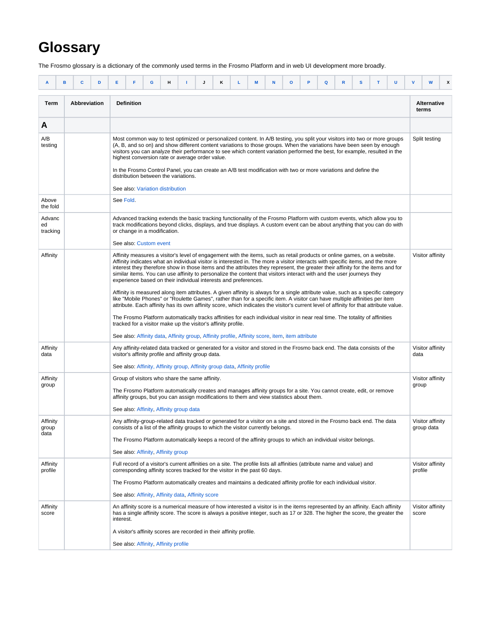## **Glossary**

The Frosmo glossary is a dictionary of the commonly used terms in the Frosmo Platform and in web UI development more broadly.

<span id="page-0-8"></span><span id="page-0-7"></span><span id="page-0-6"></span><span id="page-0-5"></span><span id="page-0-4"></span><span id="page-0-3"></span><span id="page-0-2"></span><span id="page-0-1"></span><span id="page-0-0"></span>

| A                         | в | c            | D | Е         | F                                                                                                                                                                                                                                                                                                                                                                                                                                                                                                                                                                                                                                                                                                                                                                                                                                                                                                                                                                                                                                                                                                                                                                      | G | н |  | Κ | L | M | N | $\circ$ | Q | R | s | т | U                                                                                                                                |         | W<br>х                         |
|---------------------------|---|--------------|---|-----------|------------------------------------------------------------------------------------------------------------------------------------------------------------------------------------------------------------------------------------------------------------------------------------------------------------------------------------------------------------------------------------------------------------------------------------------------------------------------------------------------------------------------------------------------------------------------------------------------------------------------------------------------------------------------------------------------------------------------------------------------------------------------------------------------------------------------------------------------------------------------------------------------------------------------------------------------------------------------------------------------------------------------------------------------------------------------------------------------------------------------------------------------------------------------|---|---|--|---|---|---|---|---------|---|---|---|---|----------------------------------------------------------------------------------------------------------------------------------|---------|--------------------------------|
| Term                      |   | Abbreviation |   |           | <b>Definition</b>                                                                                                                                                                                                                                                                                                                                                                                                                                                                                                                                                                                                                                                                                                                                                                                                                                                                                                                                                                                                                                                                                                                                                      |   |   |  |   |   |   |   |         |   |   |   |   |                                                                                                                                  |         | <b>Alternative</b><br>terms    |
| A                         |   |              |   |           |                                                                                                                                                                                                                                                                                                                                                                                                                                                                                                                                                                                                                                                                                                                                                                                                                                                                                                                                                                                                                                                                                                                                                                        |   |   |  |   |   |   |   |         |   |   |   |   |                                                                                                                                  |         |                                |
| A/B<br>testing            |   |              |   |           | (A, B, and so on) and show different content variations to those groups. When the variations have been seen by enough<br>visitors you can analyze their performance to see which content variation performed the best, for example, resulted in the<br>highest conversion rate or average order value.<br>In the Frosmo Control Panel, you can create an A/B test modification with two or more variations and define the<br>distribution between the variations.<br>See also: Variation distribution                                                                                                                                                                                                                                                                                                                                                                                                                                                                                                                                                                                                                                                                  |   |   |  |   |   |   |   |         |   |   |   |   | Most common way to test optimized or personalized content. In A/B testing, you split your visitors into two or more groups       |         | Split testing                  |
| Above<br>the fold         |   |              |   | See Fold. |                                                                                                                                                                                                                                                                                                                                                                                                                                                                                                                                                                                                                                                                                                                                                                                                                                                                                                                                                                                                                                                                                                                                                                        |   |   |  |   |   |   |   |         |   |   |   |   |                                                                                                                                  |         |                                |
| Advanc<br>ed<br>tracking  |   |              |   |           | Advanced tracking extends the basic tracking functionality of the Frosmo Platform with custom events, which allow you to<br>track modifications beyond clicks, displays, and true displays. A custom event can be about anything that you can do with<br>or change in a modification.<br>See also: Custom event                                                                                                                                                                                                                                                                                                                                                                                                                                                                                                                                                                                                                                                                                                                                                                                                                                                        |   |   |  |   |   |   |   |         |   |   |   |   |                                                                                                                                  |         |                                |
| Affinity                  |   |              |   |           | Affinity measures a visitor's level of engagement with the items, such as retail products or online games, on a website.<br>Affinity indicates what an individual visitor is interested in. The more a visitor interacts with specific items, and the more<br>interest they therefore show in those items and the attributes they represent, the greater their affinity for the items and for<br>similar items. You can use affinity to personalize the content that visitors interact with and the user journeys they<br>experience based on their individual interests and preferences.<br>like "Mobile Phones" or "Roulette Games", rather than for a specific item. A visitor can have multiple affinities per item<br>attribute. Each affinity has its own affinity score, which indicates the visitor's current level of affinity for that attribute value.<br>The Frosmo Platform automatically tracks affinities for each individual visitor in near real time. The totality of affinities<br>tracked for a visitor make up the visitor's affinity profile.<br>See also: Affinity data, Affinity group, Affinity profile, Affinity score, item, item attribute |   |   |  |   |   |   |   |         |   |   |   |   | Affinity is measured along item attributes. A given affinity is always for a single attribute value, such as a specific category |         | Visitor affinity               |
| Affinity<br>data          |   |              |   |           | Any affinity-related data tracked or generated for a visitor and stored in the Frosmo back end. The data consists of the<br>visitor's affinity profile and affinity group data.<br>See also: Affinity, Affinity group, Affinity group data, Affinity profile                                                                                                                                                                                                                                                                                                                                                                                                                                                                                                                                                                                                                                                                                                                                                                                                                                                                                                           |   |   |  |   |   |   |   |         |   |   |   |   |                                                                                                                                  | data    | Visitor affinity               |
| Affinity<br>group         |   |              |   |           | Group of visitors who share the same affinity.<br>The Frosmo Platform automatically creates and manages affinity groups for a site. You cannot create, edit, or remove<br>affinity groups, but you can assign modifications to them and view statistics about them.<br>See also: Affinity, Affinity group data                                                                                                                                                                                                                                                                                                                                                                                                                                                                                                                                                                                                                                                                                                                                                                                                                                                         |   |   |  |   |   |   |   |         |   |   |   |   |                                                                                                                                  | group   | Visitor affinity               |
| Affinity<br>group<br>data |   |              |   |           | Any affinity-group-related data tracked or generated for a visitor on a site and stored in the Frosmo back end. The data<br>consists of a list of the affinity groups to which the visitor currently belongs.<br>The Frosmo Platform automatically keeps a record of the affinity groups to which an individual visitor belongs.<br>See also: Affinity, Affinity group                                                                                                                                                                                                                                                                                                                                                                                                                                                                                                                                                                                                                                                                                                                                                                                                 |   |   |  |   |   |   |   |         |   |   |   |   |                                                                                                                                  |         | Visitor affinity<br>group data |
| Affinity<br>profile       |   |              |   |           | Full record of a visitor's current affinities on a site. The profile lists all affinities (attribute name and value) and<br>corresponding affinity scores tracked for the visitor in the past 60 days.<br>The Frosmo Platform automatically creates and maintains a dedicated affinity profile for each individual visitor.<br>See also: Affinity, Affinity data, Affinity score                                                                                                                                                                                                                                                                                                                                                                                                                                                                                                                                                                                                                                                                                                                                                                                       |   |   |  |   |   |   |   |         |   |   |   |   |                                                                                                                                  | profile | Visitor affinity               |
| Affinity<br>score         |   |              |   | interest. | An affinity score is a numerical measure of how interested a visitor is in the items represented by an affinity. Each affinity<br>A visitor's affinity scores are recorded in their affinity profile.<br>See also: Affinity, Affinity profile                                                                                                                                                                                                                                                                                                                                                                                                                                                                                                                                                                                                                                                                                                                                                                                                                                                                                                                          |   |   |  |   |   |   |   |         |   |   |   |   | has a single affinity score. The score is always a positive integer, such as 17 or 328. The higher the score, the greater the    | score   | Visitor affinity               |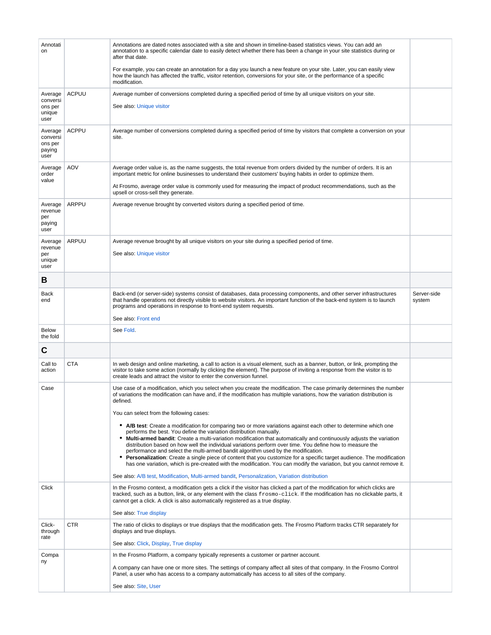<span id="page-1-5"></span><span id="page-1-4"></span><span id="page-1-3"></span><span id="page-1-2"></span><span id="page-1-1"></span><span id="page-1-0"></span>

| Annotati<br>on                                   |              | Annotations are dated notes associated with a site and shown in timeline-based statistics views. You can add an<br>annotation to a specific calendar date to easily detect whether there has been a change in your site statistics during or<br>after that date.                                                                                                                                                                                                                                                                                                                                                                                                                                                                                                       |                       |
|--------------------------------------------------|--------------|------------------------------------------------------------------------------------------------------------------------------------------------------------------------------------------------------------------------------------------------------------------------------------------------------------------------------------------------------------------------------------------------------------------------------------------------------------------------------------------------------------------------------------------------------------------------------------------------------------------------------------------------------------------------------------------------------------------------------------------------------------------------|-----------------------|
|                                                  |              | For example, you can create an annotation for a day you launch a new feature on your site. Later, you can easily view<br>how the launch has affected the traffic, visitor retention, conversions for your site, or the performance of a specific<br>modification.                                                                                                                                                                                                                                                                                                                                                                                                                                                                                                      |                       |
| Average<br>conversi<br>ons per<br>unique<br>user | <b>ACPUU</b> | Average number of conversions completed during a specified period of time by all unique visitors on your site.<br>See also: Unique visitor                                                                                                                                                                                                                                                                                                                                                                                                                                                                                                                                                                                                                             |                       |
| Average<br>conversi<br>ons per<br>paying<br>user | <b>ACPPU</b> | Average number of conversions completed during a specified period of time by visitors that complete a conversion on your<br>site.                                                                                                                                                                                                                                                                                                                                                                                                                                                                                                                                                                                                                                      |                       |
| Average<br>order<br>value                        | <b>AOV</b>   | Average order value is, as the name suggests, the total revenue from orders divided by the number of orders. It is an<br>important metric for online businesses to understand their customers' buying habits in order to optimize them.<br>At Frosmo, average order value is commonly used for measuring the impact of product recommendations, such as the<br>upsell or cross-sell they generate.                                                                                                                                                                                                                                                                                                                                                                     |                       |
| Average<br>revenue<br>per<br>paying<br>user      | ARPPU        | Average revenue brought by converted visitors during a specified period of time.                                                                                                                                                                                                                                                                                                                                                                                                                                                                                                                                                                                                                                                                                       |                       |
| Average<br>revenue<br>per<br>unique<br>user      | ARPUU        | Average revenue brought by all unique visitors on your site during a specified period of time.<br>See also: Unique visitor                                                                                                                                                                                                                                                                                                                                                                                                                                                                                                                                                                                                                                             |                       |
| B                                                |              |                                                                                                                                                                                                                                                                                                                                                                                                                                                                                                                                                                                                                                                                                                                                                                        |                       |
| Back<br>end                                      |              | Back-end (or server-side) systems consist of databases, data processing components, and other server infrastructures<br>that handle operations not directly visible to website visitors. An important function of the back-end system is to launch<br>programs and operations in response to front-end system requests.<br>See also: Front end                                                                                                                                                                                                                                                                                                                                                                                                                         | Server-side<br>system |
| <b>Below</b>                                     |              | See Fold.                                                                                                                                                                                                                                                                                                                                                                                                                                                                                                                                                                                                                                                                                                                                                              |                       |
| the fold                                         |              |                                                                                                                                                                                                                                                                                                                                                                                                                                                                                                                                                                                                                                                                                                                                                                        |                       |
| C                                                |              |                                                                                                                                                                                                                                                                                                                                                                                                                                                                                                                                                                                                                                                                                                                                                                        |                       |
| Call to<br>action                                | <b>CTA</b>   | In web design and online marketing, a call to action is a visual element, such as a banner, button, or link, prompting the<br>visitor to take some action (normally by clicking the element). The purpose of inviting a response from the visitor is to<br>create leads and attract the visitor to enter the conversion funnel.                                                                                                                                                                                                                                                                                                                                                                                                                                        |                       |
| Case                                             |              | Use case of a modification, which you select when you create the modification. The case primarily determines the number<br>of variations the modification can have and, if the modification has multiple variations, how the variation distribution is<br>defined.<br>You can select from the following cases:                                                                                                                                                                                                                                                                                                                                                                                                                                                         |                       |
|                                                  |              | • A/B test: Create a modification for comparing two or more variations against each other to determine which one<br>performs the best. You define the variation distribution manually.<br>• Multi-armed bandit: Create a multi-variation modification that automatically and continuously adjusts the variation<br>distribution based on how well the individual variations perform over time. You define how to measure the<br>performance and select the multi-armed bandit algorithm used by the modification.<br>• Personalization: Create a single piece of content that you customize for a specific target audience. The modification<br>has one variation, which is pre-created with the modification. You can modify the variation, but you cannot remove it. |                       |
|                                                  |              | See also: A/B test, Modification, Multi-armed bandit, Personalization, Variation distribution                                                                                                                                                                                                                                                                                                                                                                                                                                                                                                                                                                                                                                                                          |                       |
| Click                                            |              | In the Frosmo context, a modification gets a click if the visitor has clicked a part of the modification for which clicks are<br>tracked, such as a button, link, or any element with the class frosmo-click. If the modification has no clickable parts, it<br>cannot get a click. A click is also automatically registered as a true display.<br>See also: True display                                                                                                                                                                                                                                                                                                                                                                                              |                       |
| Click-<br>through<br>rate                        | <b>CTR</b>   | The ratio of clicks to displays or true displays that the modification gets. The Frosmo Platform tracks CTR separately for<br>displays and true displays.<br>See also: Click, Display, True display                                                                                                                                                                                                                                                                                                                                                                                                                                                                                                                                                                    |                       |
| Compa                                            |              | In the Frosmo Platform, a company typically represents a customer or partner account.                                                                                                                                                                                                                                                                                                                                                                                                                                                                                                                                                                                                                                                                                  |                       |
| ny                                               |              | A company can have one or more sites. The settings of company affect all sites of that company. In the Frosmo Control<br>Panel, a user who has access to a company automatically has access to all sites of the company.                                                                                                                                                                                                                                                                                                                                                                                                                                                                                                                                               |                       |
|                                                  |              | See also: Site, User                                                                                                                                                                                                                                                                                                                                                                                                                                                                                                                                                                                                                                                                                                                                                   |                       |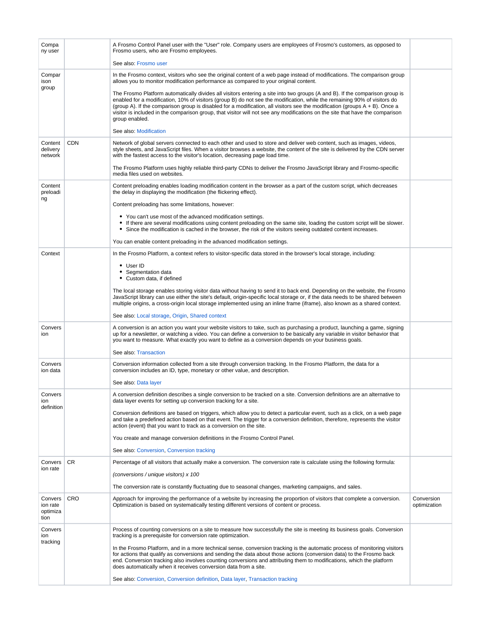<span id="page-2-5"></span><span id="page-2-4"></span><span id="page-2-3"></span><span id="page-2-2"></span><span id="page-2-1"></span><span id="page-2-0"></span>

| Compa<br>ny user                        |           | A Frosmo Control Panel user with the "User" role. Company users are employees of Frosmo's customers, as opposed to<br>Frosmo users, who are Frosmo employees.                                                                                                                                                                                                                                                                                                                                                                               |                            |
|-----------------------------------------|-----------|---------------------------------------------------------------------------------------------------------------------------------------------------------------------------------------------------------------------------------------------------------------------------------------------------------------------------------------------------------------------------------------------------------------------------------------------------------------------------------------------------------------------------------------------|----------------------------|
|                                         |           | See also: Frosmo user                                                                                                                                                                                                                                                                                                                                                                                                                                                                                                                       |                            |
| Compar<br>ison<br>group                 |           | In the Frosmo context, visitors who see the original content of a web page instead of modifications. The comparison group<br>allows you to monitor modification performance as compared to your original content.                                                                                                                                                                                                                                                                                                                           |                            |
|                                         |           | The Frosmo Platform automatically divides all visitors entering a site into two groups (A and B). If the comparison group is<br>enabled for a modification, 10% of visitors (group B) do not see the modification, while the remaining 90% of visitors do<br>(group A). If the comparison group is disabled for a modification, all visitors see the modification (groups A + B). Once a<br>visitor is included in the comparison group, that visitor will not see any modifications on the site that have the comparison<br>group enabled. |                            |
|                                         |           | See also: Modification                                                                                                                                                                                                                                                                                                                                                                                                                                                                                                                      |                            |
| Content<br>delivery<br>network          | CDN       | Network of global servers connected to each other and used to store and deliver web content, such as images, videos,<br>style sheets, and JavaScript files. When a visitor browses a website, the content of the site is delivered by the CDN server<br>with the fastest access to the visitor's location, decreasing page load time.                                                                                                                                                                                                       |                            |
|                                         |           | The Frosmo Platform uses highly reliable third-party CDNs to deliver the Frosmo JavaScript library and Frosmo-specific<br>media files used on websites.                                                                                                                                                                                                                                                                                                                                                                                     |                            |
| Content<br>preloadi                     |           | Content preloading enables loading modification content in the browser as a part of the custom script, which decreases<br>the delay in displaying the modification (the flickering effect).                                                                                                                                                                                                                                                                                                                                                 |                            |
| ng                                      |           | Content preloading has some limitations, however:                                                                                                                                                                                                                                                                                                                                                                                                                                                                                           |                            |
|                                         |           | • You can't use most of the advanced modification settings.<br>• If there are several modifications using content preloading on the same site, loading the custom script will be slower.<br>• Since the modification is cached in the browser, the risk of the visitors seeing outdated content increases.                                                                                                                                                                                                                                  |                            |
|                                         |           | You can enable content preloading in the advanced modification settings.                                                                                                                                                                                                                                                                                                                                                                                                                                                                    |                            |
| Context                                 |           | In the Frosmo Platform, a context refers to visitor-specific data stored in the browser's local storage, including:                                                                                                                                                                                                                                                                                                                                                                                                                         |                            |
|                                         |           | • User ID<br>• Segmentation data<br>• Custom data, if defined                                                                                                                                                                                                                                                                                                                                                                                                                                                                               |                            |
|                                         |           | The local storage enables storing visitor data without having to send it to back end. Depending on the website, the Frosmo<br>JavaScript library can use either the site's default, origin-specific local storage or, if the data needs to be shared between<br>multiple origins, a cross-origin local storage implemented using an inline frame (iframe), also known as a shared context.                                                                                                                                                  |                            |
|                                         |           | See also: Local storage, Origin, Shared context                                                                                                                                                                                                                                                                                                                                                                                                                                                                                             |                            |
| Convers<br>ion                          |           | A conversion is an action you want your website visitors to take, such as purchasing a product, launching a game, signing<br>up for a newsletter, or watching a video. You can define a conversion to be basically any variable in visitor behavior that<br>you want to measure. What exactly you want to define as a conversion depends on your business goals.                                                                                                                                                                            |                            |
|                                         |           | See also: Transaction                                                                                                                                                                                                                                                                                                                                                                                                                                                                                                                       |                            |
| Convers<br>ion data                     |           | Conversion information collected from a site through conversion tracking. In the Frosmo Platform, the data for a<br>conversion includes an ID, type, monetary or other value, and description.                                                                                                                                                                                                                                                                                                                                              |                            |
|                                         |           | See also: Data layer                                                                                                                                                                                                                                                                                                                                                                                                                                                                                                                        |                            |
| Convers<br>ion<br>definition            |           | A conversion definition describes a single conversion to be tracked on a site. Conversion definitions are an alternative to<br>data layer events for setting up conversion tracking for a site.                                                                                                                                                                                                                                                                                                                                             |                            |
|                                         |           | Conversion definitions are based on triggers, which allow you to detect a particular event, such as a click, on a web page<br>and take a predefined action based on that event. The trigger for a conversion definition, therefore, represents the visitor<br>action (event) that you want to track as a conversion on the site.                                                                                                                                                                                                            |                            |
|                                         |           | You create and manage conversion definitions in the Frosmo Control Panel.                                                                                                                                                                                                                                                                                                                                                                                                                                                                   |                            |
|                                         |           | See also: Conversion, Conversion tracking                                                                                                                                                                                                                                                                                                                                                                                                                                                                                                   |                            |
| Convers<br>ion rate                     | <b>CR</b> | Percentage of all visitors that actually make a conversion. The conversion rate is calculate using the following formula:                                                                                                                                                                                                                                                                                                                                                                                                                   |                            |
|                                         |           | (conversions / unique visitors) x 100                                                                                                                                                                                                                                                                                                                                                                                                                                                                                                       |                            |
|                                         |           | The conversion rate is constantly fluctuating due to seasonal changes, marketing campaigns, and sales.                                                                                                                                                                                                                                                                                                                                                                                                                                      |                            |
| Convers<br>ion rate<br>optimiza<br>tion | CRO       | Approach for improving the performance of a website by increasing the proportion of visitors that complete a conversion.<br>Optimization is based on systematically testing different versions of content or process.                                                                                                                                                                                                                                                                                                                       | Conversion<br>optimization |
| Convers<br>ion                          |           | Process of counting conversions on a site to measure how successfully the site is meeting its business goals. Conversion<br>tracking is a prerequisite for conversion rate optimization.                                                                                                                                                                                                                                                                                                                                                    |                            |
| tracking                                |           | In the Frosmo Platform, and in a more technical sense, conversion tracking is the automatic process of monitoring visitors<br>for actions that qualify as conversions and sending the data about those actions (conversion data) to the Frosmo back<br>end. Conversion tracking also involves counting conversions and attributing them to modifications, which the platform<br>does automatically when it receives conversion data from a site.                                                                                            |                            |
|                                         |           | See also: Conversion, Conversion definition, Data layer, Transaction tracking                                                                                                                                                                                                                                                                                                                                                                                                                                                               |                            |
|                                         |           |                                                                                                                                                                                                                                                                                                                                                                                                                                                                                                                                             |                            |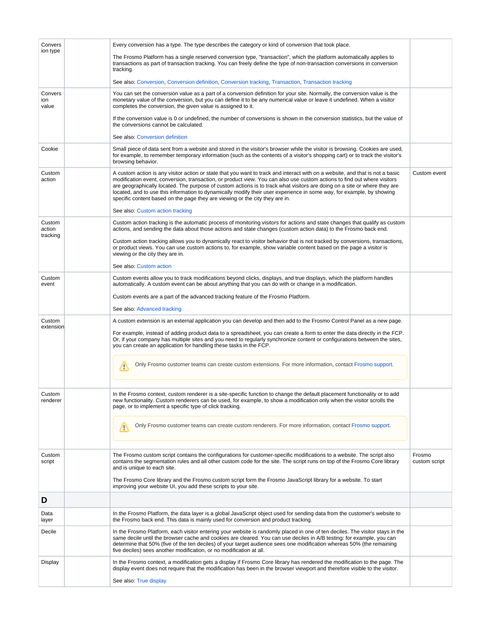<span id="page-3-5"></span><span id="page-3-4"></span><span id="page-3-3"></span><span id="page-3-2"></span><span id="page-3-1"></span><span id="page-3-0"></span>

| Convers                 | Every conversion has a type. The type describes the category or kind of conversion that took place.                                                                                                                                                                                                                                                                                                                                                                                                                                                                                                                                 |                         |
|-------------------------|-------------------------------------------------------------------------------------------------------------------------------------------------------------------------------------------------------------------------------------------------------------------------------------------------------------------------------------------------------------------------------------------------------------------------------------------------------------------------------------------------------------------------------------------------------------------------------------------------------------------------------------|-------------------------|
| ion type                | The Frosmo Platform has a single reserved conversion type, "transaction", which the platform automatically applies to<br>transactions as part of transaction tracking. You can freely define the type of non-transaction conversions in conversion<br>tracking.                                                                                                                                                                                                                                                                                                                                                                     |                         |
|                         | See also: Conversion, Conversion definition, Conversion tracking, Transaction, Transaction tracking                                                                                                                                                                                                                                                                                                                                                                                                                                                                                                                                 |                         |
| Convers<br>ion<br>value | You can set the conversion value as a part of a conversion definition for your site. Normally, the conversion value is the<br>monetary value of the conversion, but you can define it to be any numerical value or leave it undefined. When a visitor<br>completes the conversion, the given value is assigned to it.                                                                                                                                                                                                                                                                                                               |                         |
|                         | If the conversion value is 0 or undefined, the number of conversions is shown in the conversion statistics, but the value of<br>the conversions cannot be calculated.                                                                                                                                                                                                                                                                                                                                                                                                                                                               |                         |
|                         | See also: Conversion definition                                                                                                                                                                                                                                                                                                                                                                                                                                                                                                                                                                                                     |                         |
| Cookie                  | Small piece of data sent from a website and stored in the visitor's browser while the visitor is browsing. Cookies are used,<br>for example, to remember temporary information (such as the contents of a visitor's shopping cart) or to track the visitor's<br>browsing behavior.                                                                                                                                                                                                                                                                                                                                                  |                         |
| Custom<br>action        | A custom action is any visitor action or state that you want to track and interact with on a website, and that is not a basic<br>modification event, conversion, transaction, or product view. You can also use custom actions to find out where visitors<br>are geographically located. The purpose of custom actions is to track what visitors are doing on a site or where they are<br>located, and to use this information to dynamically modify their user experience in some way, for example, by showing<br>specific content based on the page they are viewing or the city they are in.<br>See also: Custom action tracking | Custom event            |
| Custom                  | Custom action tracking is the automatic process of monitoring visitors for actions and state changes that qualify as custom                                                                                                                                                                                                                                                                                                                                                                                                                                                                                                         |                         |
| action                  | actions, and sending the data about those actions and state changes (custom action data) to the Frosmo back end.                                                                                                                                                                                                                                                                                                                                                                                                                                                                                                                    |                         |
| tracking                | Custom action tracking allows you to dynamically react to visitor behavior that is not tracked by conversions, transactions,<br>or product views. You can use custom actions to, for example, show variable content based on the page a visitor is<br>viewing or the city they are in.                                                                                                                                                                                                                                                                                                                                              |                         |
|                         | See also: Custom action                                                                                                                                                                                                                                                                                                                                                                                                                                                                                                                                                                                                             |                         |
| Custom<br>event         | Custom events allow you to track modifications beyond clicks, displays, and true displays, which the platform handles<br>automatically. A custom event can be about anything that you can do with or change in a modification.                                                                                                                                                                                                                                                                                                                                                                                                      |                         |
|                         | Custom events are a part of the advanced tracking feature of the Frosmo Platform.                                                                                                                                                                                                                                                                                                                                                                                                                                                                                                                                                   |                         |
|                         | See also: Advanced tracking                                                                                                                                                                                                                                                                                                                                                                                                                                                                                                                                                                                                         |                         |
| Custom<br>extension     | A custom extension is an external application you can develop and then add to the Frosmo Control Panel as a new page.                                                                                                                                                                                                                                                                                                                                                                                                                                                                                                               |                         |
|                         | For example, instead of adding product data to a spreadsheet, you can create a form to enter the data directly in the FCP.<br>Or, if your company has multiple sites and you need to regularly synchronize content or configurations between the sites,<br>you can create an application for handling these tasks in the FCP.                                                                                                                                                                                                                                                                                                       |                         |
|                         | Only Frosmo customer teams can create custom extensions. For more information, contact Frosmo support.<br>Ф                                                                                                                                                                                                                                                                                                                                                                                                                                                                                                                         |                         |
| Custom                  | In the Frosmo context, custom renderer is a site-specific function to change the default placement functionality or to add                                                                                                                                                                                                                                                                                                                                                                                                                                                                                                          |                         |
| renderer                | new functionality. Custom renderers can be used, for example, to show a modification only when the visitor scrolls the<br>page, or to implement a specific type of click tracking.                                                                                                                                                                                                                                                                                                                                                                                                                                                  |                         |
|                         | Only Frosmo customer teams can create custom renderers. For more information, contact Frosmo support.<br>ņ                                                                                                                                                                                                                                                                                                                                                                                                                                                                                                                          |                         |
| Custom<br>script        | The Frosmo custom script contains the configurations for customer-specific modifications to a website. The script also<br>contains the segmentation rules and all other custom code for the site. The script runs on top of the Frosmo Core library<br>and is unique to each site.                                                                                                                                                                                                                                                                                                                                                  | Frosmo<br>custom script |
|                         | The Frosmo Core library and the Frosmo custom script form the Frosmo JavaScript library for a website. To start<br>improving your website UI, you add these scripts to your site.                                                                                                                                                                                                                                                                                                                                                                                                                                                   |                         |
| D                       |                                                                                                                                                                                                                                                                                                                                                                                                                                                                                                                                                                                                                                     |                         |
| Data<br>layer           | In the Frosmo Platform, the data layer is a global JavaScript object used for sending data from the customer's website to<br>the Frosmo back end. This data is mainly used for conversion and product tracking.                                                                                                                                                                                                                                                                                                                                                                                                                     |                         |
| Decile                  | In the Frosmo Platform, each visitor entering your website is randomly placed in one of ten deciles. The visitor stays in the<br>same decile until the browser cache and cookies are cleared. You can use deciles in A/B testing: for example, you can<br>determine that 50% (five of the ten deciles) of your target audience sees one modification whereas 50% (the remaining<br>five deciles) sees another modification, or no modification at all.                                                                                                                                                                              |                         |
| Display                 | In the Frosmo context, a modification gets a display if Frosmo Core library has rendered the modification to the page. The<br>display event does not require that the modification has been in the browser viewport and therefore visible to the visitor.                                                                                                                                                                                                                                                                                                                                                                           |                         |
|                         | See also: True display                                                                                                                                                                                                                                                                                                                                                                                                                                                                                                                                                                                                              |                         |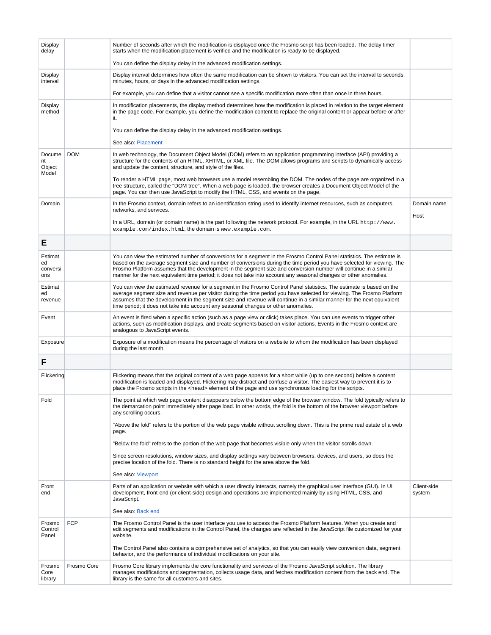<span id="page-4-4"></span><span id="page-4-3"></span><span id="page-4-2"></span><span id="page-4-1"></span><span id="page-4-0"></span>

| Display<br>delay                 |             | Number of seconds after which the modification is displayed once the Frosmo script has been loaded. The delay timer<br>starts when the modification placement is verified and the modification is ready to be displayed.                                                                                                                                                                                                                                                                   |                       |
|----------------------------------|-------------|--------------------------------------------------------------------------------------------------------------------------------------------------------------------------------------------------------------------------------------------------------------------------------------------------------------------------------------------------------------------------------------------------------------------------------------------------------------------------------------------|-----------------------|
|                                  |             | You can define the display delay in the advanced modification settings.                                                                                                                                                                                                                                                                                                                                                                                                                    |                       |
| Display<br>interval              |             | Display interval determines how often the same modification can be shown to visitors. You can set the interval to seconds,<br>minutes, hours, or days in the advanced modification settings.                                                                                                                                                                                                                                                                                               |                       |
|                                  |             | For example, you can define that a visitor cannot see a specific modification more often than once in three hours.                                                                                                                                                                                                                                                                                                                                                                         |                       |
| Display<br>method                |             | In modification placements, the display method determines how the modification is placed in relation to the target element<br>in the page code. For example, you define the modification content to replace the original content or appear before or after<br>it.                                                                                                                                                                                                                          |                       |
|                                  |             | You can define the display delay in the advanced modification settings.                                                                                                                                                                                                                                                                                                                                                                                                                    |                       |
|                                  |             | See also: Placement                                                                                                                                                                                                                                                                                                                                                                                                                                                                        |                       |
| Docume<br>nt<br>Object<br>Model  | <b>DOM</b>  | In web technology, the Document Object Model (DOM) refers to an application programming interface (API) providing a<br>structure for the contents of an HTML, XHTML, or XML file. The DOM allows programs and scripts to dynamically access<br>and update the content, structure, and style of the files.                                                                                                                                                                                  |                       |
|                                  |             | To render a HTML page, most web browsers use a model resembling the DOM. The nodes of the page are organized in a<br>tree structure, called the "DOM tree". When a web page is loaded, the browser creates a Document Object Model of the<br>page. You can then use JavaScript to modify the HTML, CSS, and events on the page.                                                                                                                                                            |                       |
| Domain                           |             | In the Frosmo context, domain refers to an identification string used to identify internet resources, such as computers,<br>networks, and services.                                                                                                                                                                                                                                                                                                                                        | Domain name           |
|                                  |             | In a URL, domain (or domain name) is the part following the network protocol. For example, in the URL http://www.<br>example.com/index.html, the domain is www.example.com.                                                                                                                                                                                                                                                                                                                | Host                  |
| Е                                |             |                                                                                                                                                                                                                                                                                                                                                                                                                                                                                            |                       |
| Estimat<br>ed<br>conversi<br>ons |             | You can view the estimated number of conversions for a segment in the Frosmo Control Panel statistics. The estimate is<br>based on the average segment size and number of conversions during the time period you have selected for viewing. The<br>Frosmo Platform assumes that the development in the segment size and conversion number will continue in a similar<br>manner for the next equivalent time period; it does not take into account any seasonal changes or other anomalies. |                       |
| Estimat<br>ed<br>revenue         |             | You can view the estimated revenue for a segment in the Frosmo Control Panel statistics. The estimate is based on the<br>average segment size and revenue per visitor during the time period you have selected for viewing. The Frosmo Platform<br>assumes that the development in the segment size and revenue will continue in a similar manner for the next equivalent<br>time period; it does not take into account any seasonal changes or other anomalies.                           |                       |
| Event                            |             | An event is fired when a specific action (such as a page view or click) takes place. You can use events to trigger other<br>actions, such as modification displays, and create segments based on visitor actions. Events in the Frosmo context are<br>analogous to JavaScript events.                                                                                                                                                                                                      |                       |
| Exposure                         |             | Exposure of a modification means the percentage of visitors on a website to whom the modification has been displayed<br>during the last month.                                                                                                                                                                                                                                                                                                                                             |                       |
| F                                |             |                                                                                                                                                                                                                                                                                                                                                                                                                                                                                            |                       |
| Flickering                       |             | Flickering means that the original content of a web page appears for a short while (up to one second) before a content<br>modification is loaded and displayed. Flickering may distract and confuse a visitor. The easiest way to prevent it is to<br>place the Frosmo scripts in the <head> element of the page and use synchronous loading for the scripts.</head>                                                                                                                       |                       |
| Fold                             |             | The point at which web page content disappears below the bottom edge of the browser window. The fold typically refers to<br>the demarcation point immediately after page load. In other words, the fold is the bottom of the browser viewport before<br>any scrolling occurs.                                                                                                                                                                                                              |                       |
|                                  |             | "Above the fold" refers to the portion of the web page visible without scrolling down. This is the prime real estate of a web<br>page.                                                                                                                                                                                                                                                                                                                                                     |                       |
|                                  |             | "Below the fold" refers to the portion of the web page that becomes visible only when the visitor scrolls down.                                                                                                                                                                                                                                                                                                                                                                            |                       |
|                                  |             | Since screen resolutions, window sizes, and display settings vary between browsers, devices, and users, so does the<br>precise location of the fold. There is no standard height for the area above the fold.                                                                                                                                                                                                                                                                              |                       |
|                                  |             | See also: Viewport                                                                                                                                                                                                                                                                                                                                                                                                                                                                         |                       |
| Front<br>end                     |             | Parts of an application or website with which a user directly interacts, namely the graphical user interface (GUI). In UI<br>development, front-end (or client-side) design and operations are implemented mainly by using HTML, CSS, and<br>JavaScript.                                                                                                                                                                                                                                   | Client-side<br>system |
|                                  |             | See also: Back end                                                                                                                                                                                                                                                                                                                                                                                                                                                                         |                       |
| Frosmo<br>Control<br>Panel       | <b>FCP</b>  | The Frosmo Control Panel is the user interface you use to access the Frosmo Platform features. When you create and<br>edit segments and modifications in the Control Panel, the changes are reflected in the JavaScript file customized for your<br>website.                                                                                                                                                                                                                               |                       |
|                                  |             | The Control Panel also contains a comprehensive set of analytics, so that you can easily view conversion data, segment<br>behavior, and the performance of individual modifications on your site.                                                                                                                                                                                                                                                                                          |                       |
| Frosmo<br>Core<br>library        | Frosmo Core | Frosmo Core library implements the core functionality and services of the Frosmo JavaScript solution. The library<br>manages modifications and segmentation, collects usage data, and fetches modification content from the back end. The<br>library is the same for all customers and sites.                                                                                                                                                                                              |                       |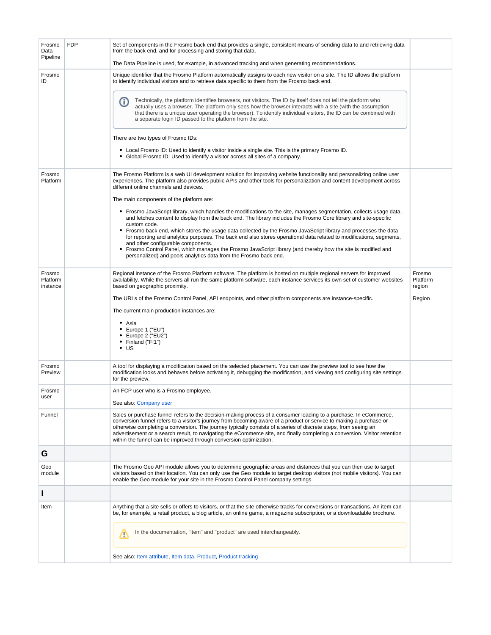<span id="page-5-3"></span><span id="page-5-2"></span><span id="page-5-1"></span><span id="page-5-0"></span>

| Frosmo<br>Data<br>Pipeline     | <b>FDP</b> | Set of components in the Frosmo back end that provides a single, consistent means of sending data to and retrieving data<br>from the back end, and for processing and storing that data.<br>The Data Pipeline is used, for example, in advanced tracking and when generating recommendations.                                                                                                                                                                                                                                                                   |                              |
|--------------------------------|------------|-----------------------------------------------------------------------------------------------------------------------------------------------------------------------------------------------------------------------------------------------------------------------------------------------------------------------------------------------------------------------------------------------------------------------------------------------------------------------------------------------------------------------------------------------------------------|------------------------------|
| Frosmo<br>ID                   |            | Unique identifier that the Frosmo Platform automatically assigns to each new visitor on a site. The ID allows the platform<br>to identify individual visitors and to retrieve data specific to them from the Frosmo back end.                                                                                                                                                                                                                                                                                                                                   |                              |
|                                |            | Technically, the platform identifies browsers, not visitors. The ID by itself does not tell the platform who<br>(ï)<br>actually uses a browser. The platform only sees how the browser interacts with a site (with the assumption<br>that there is a unique user operating the browser). To identify individual visitors, the ID can be combined with<br>a separate login ID passed to the platform from the site.                                                                                                                                              |                              |
|                                |            | There are two types of Frosmo IDs:                                                                                                                                                                                                                                                                                                                                                                                                                                                                                                                              |                              |
|                                |            | • Local Frosmo ID: Used to identify a visitor inside a single site. This is the primary Frosmo ID.<br>• Global Frosmo ID: Used to identify a visitor across all sites of a company.                                                                                                                                                                                                                                                                                                                                                                             |                              |
| Frosmo<br>Platform             |            | The Frosmo Platform is a web UI development solution for improving website functionality and personalizing online user<br>experiences. The platform also provides public APIs and other tools for personalization and content development across<br>different online channels and devices.                                                                                                                                                                                                                                                                      |                              |
|                                |            | The main components of the platform are:                                                                                                                                                                                                                                                                                                                                                                                                                                                                                                                        |                              |
|                                |            | • Frosmo JavaScript library, which handles the modifications to the site, manages segmentation, collects usage data,<br>and fetches content to display from the back end. The library includes the Frosmo Core library and site-specific                                                                                                                                                                                                                                                                                                                        |                              |
|                                |            | custom code.<br>• Frosmo back end, which stores the usage data collected by the Frosmo JavaScript library and processes the data<br>for reporting and analytics purposes. The back end also stores operational data related to modifications, segments,<br>and other configurable components.                                                                                                                                                                                                                                                                   |                              |
|                                |            | • Frosmo Control Panel, which manages the Frosmo JavaScript library (and thereby how the site is modified and<br>personalized) and pools analytics data from the Frosmo back end.                                                                                                                                                                                                                                                                                                                                                                               |                              |
| Frosmo<br>Platform<br>instance |            | Regional instance of the Frosmo Platform software. The platform is hosted on multiple regional servers for improved<br>availability. While the servers all run the same platform software, each instance services its own set of customer websites<br>based on geographic proximity.                                                                                                                                                                                                                                                                            | Frosmo<br>Platform<br>region |
|                                |            | The URLs of the Frosmo Control Panel, API endpoints, and other platform components are instance-specific.                                                                                                                                                                                                                                                                                                                                                                                                                                                       | Region                       |
|                                |            | The current main production instances are:                                                                                                                                                                                                                                                                                                                                                                                                                                                                                                                      |                              |
|                                |            | • Asia<br>$\bullet$ Europe 1 ("EU")<br>$\bullet$ Europe 2 ("EU2")<br>• Finland ("FI1")<br>$\cdot$ US                                                                                                                                                                                                                                                                                                                                                                                                                                                            |                              |
| Frosmo<br>Preview              |            | A tool for displaying a modification based on the selected placement. You can use the preview tool to see how the<br>modification looks and behaves before activating it, debugging the modification, and viewing and configuring site settings<br>for the preview.                                                                                                                                                                                                                                                                                             |                              |
| Frosmo<br>user                 |            | An FCP user who is a Frosmo employee.                                                                                                                                                                                                                                                                                                                                                                                                                                                                                                                           |                              |
|                                |            | See also: Company user                                                                                                                                                                                                                                                                                                                                                                                                                                                                                                                                          |                              |
| Funnel                         |            | Sales or purchase funnel refers to the decision-making process of a consumer leading to a purchase. In eCommerce,<br>conversion funnel refers to a visitor's journey from becoming aware of a product or service to making a purchase or<br>otherwise completing a conversion. The journey typically consists of a series of discrete steps, from seeing an<br>advertisement or a search result, to navigating the eCommerce site, and finally completing a conversion. Visitor retention<br>within the funnel can be improved through conversion optimization. |                              |
| G                              |            |                                                                                                                                                                                                                                                                                                                                                                                                                                                                                                                                                                 |                              |
| Geo<br>module                  |            | The Frosmo Geo API module allows you to determine geographic areas and distances that you can then use to target<br>visitors based on their location. You can only use the Geo module to target desktop visitors (not mobile visitors). You can<br>enable the Geo module for your site in the Frosmo Control Panel company settings.                                                                                                                                                                                                                            |                              |
|                                |            |                                                                                                                                                                                                                                                                                                                                                                                                                                                                                                                                                                 |                              |
| Item                           |            | Anything that a site sells or offers to visitors, or that the site otherwise tracks for conversions or transactions. An item can<br>be, for example, a retail product, a blog article, an online game, a magazine subscription, or a downloadable brochure.                                                                                                                                                                                                                                                                                                     |                              |
|                                |            | In the documentation, "item" and "product" are used interchangeably.<br>∕∿                                                                                                                                                                                                                                                                                                                                                                                                                                                                                      |                              |
|                                |            | See also: Item attribute, Item data, Product, Product tracking                                                                                                                                                                                                                                                                                                                                                                                                                                                                                                  |                              |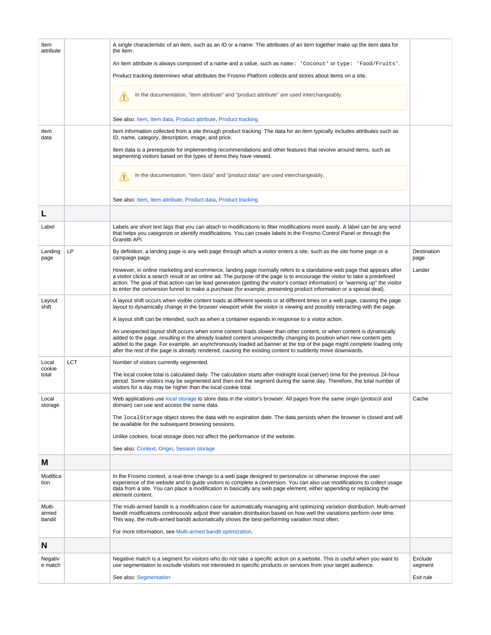<span id="page-6-7"></span><span id="page-6-6"></span><span id="page-6-5"></span><span id="page-6-4"></span><span id="page-6-3"></span><span id="page-6-2"></span><span id="page-6-1"></span><span id="page-6-0"></span>

| Item<br>attribute         |            | A single characteristic of an item, such as an ID or a name. The attributes of an item together make up the item data for<br>the item.                                                                                                                                                                                                                                                                                                                                                                     |                     |
|---------------------------|------------|------------------------------------------------------------------------------------------------------------------------------------------------------------------------------------------------------------------------------------------------------------------------------------------------------------------------------------------------------------------------------------------------------------------------------------------------------------------------------------------------------------|---------------------|
|                           |            | An item attribute is always composed of a name and a value, such as name: 'Coconut' or type: 'Food/Fruits'.                                                                                                                                                                                                                                                                                                                                                                                                |                     |
|                           |            | Product tracking determines what attributes the Frosmo Platform collects and stores about items on a site.                                                                                                                                                                                                                                                                                                                                                                                                 |                     |
|                           |            | In the documentation, "item attribute" and "product attribute" are used interchangeably.<br>₾                                                                                                                                                                                                                                                                                                                                                                                                              |                     |
|                           |            | See also: Item, Item data, Product attribute, Product tracking                                                                                                                                                                                                                                                                                                                                                                                                                                             |                     |
| Item<br>data              |            | Item information collected from a site through product tracking. The data for an item typically includes attributes such as<br>ID, name, category, description, image, and price.                                                                                                                                                                                                                                                                                                                          |                     |
|                           |            | Item data is a prerequisite for implementing recommendations and other features that revolve around items, such as<br>segmenting visitors based on the types of items they have viewed.                                                                                                                                                                                                                                                                                                                    |                     |
|                           |            | In the documentation, "item data" and "product data" are used interchangeably.<br>∕∖                                                                                                                                                                                                                                                                                                                                                                                                                       |                     |
|                           |            | See also: Item, Item attribute, Product data, Product tracking                                                                                                                                                                                                                                                                                                                                                                                                                                             |                     |
|                           |            |                                                                                                                                                                                                                                                                                                                                                                                                                                                                                                            |                     |
| Label                     |            | Labels are short text tags that you can attach to modifications to filter modifications more easily. A label can be any word<br>that helps you categorize or identify modifications. You can create labels in the Frosmo Control Panel or through the<br>Graniitti API.                                                                                                                                                                                                                                    |                     |
| Landing<br>page           | LP         | By definition, a landing page is any web page through which a visitor enters a site, such as the site home page or a<br>campaign page.                                                                                                                                                                                                                                                                                                                                                                     | Destination<br>page |
|                           |            | However, in online marketing and ecommerce, landing page normally refers to a standalone web page that appears after<br>a visitor clicks a search result or an online ad. The purpose of the page is to encourage the visitor to take a predefined<br>action. The goal of that action can be lead generation (getting the visitor's contact information) or "warming up" the visitor<br>to enter the conversion funnel to make a purchase (for example, presenting product information or a special deal). | Lander              |
| Layout<br>shift           |            | A layout shift occurs when visible content loads at different speeds or at different times on a web page, causing the page<br>layout to dynamically change in the browser viewport while the visitor is viewing and possibly interacting with the page.                                                                                                                                                                                                                                                    |                     |
|                           |            | A layout shift can be intended, such as when a container expands in response to a visitor action.                                                                                                                                                                                                                                                                                                                                                                                                          |                     |
|                           |            | An unexpected layout shift occurs when some content loads slower than other content, or when content is dynamically<br>added to the page, resulting in the already loaded content unexpectedly changing its position when new content gets<br>added to the page. For example, an asynchronously loaded ad banner at the top of the page might complete loading only<br>after the rest of the page is already rendered, causing the existing content to suddenly move downwards.                            |                     |
| Local<br>cookie           | <b>LCT</b> | Number of visitors currently segmented.                                                                                                                                                                                                                                                                                                                                                                                                                                                                    |                     |
| total                     |            | The local cookie total is calculated daily. The calculation starts after midnight local (server) time for the previous 24-hour<br>period. Some visitors may be segmented and then exit the segment during the same day. Therefore, the total number of<br>visitors for a day may be higher than the local cookie total.                                                                                                                                                                                    |                     |
| Local<br>storage          |            | Web applications use local storage to store data in the visitor's browser. All pages from the same origin (protocol and<br>domain) can use and access the same data.                                                                                                                                                                                                                                                                                                                                       | Cache               |
|                           |            | The local Storage object stores the data with no expiration date. The data persists when the browser is closed and will<br>be available for the subsequent browsing sessions.                                                                                                                                                                                                                                                                                                                              |                     |
|                           |            | Unlike cookies, local storage does not affect the performance of the website.                                                                                                                                                                                                                                                                                                                                                                                                                              |                     |
|                           |            | See also: Context, Origin, Session storage                                                                                                                                                                                                                                                                                                                                                                                                                                                                 |                     |
| M                         |            |                                                                                                                                                                                                                                                                                                                                                                                                                                                                                                            |                     |
| Modifica<br>tion          |            | In the Frosmo context, a real-time change to a web page designed to personalize or otherwise improve the user<br>experience of the website and to guide visitors to complete a conversion. You can also use modifications to collect usage<br>data from a site. You can place a modification in basically any web page element, either appending or replacing the<br>element content.                                                                                                                      |                     |
| Multi-<br>armed<br>bandit |            | The multi-armed bandit is a modification case for automatically managing and optimizing variation distribution. Multi-armed<br>bandit modifications continuously adjust their variation distribution based on how well the variations perform over time.<br>This way, the multi-armed bandit automatically shows the best-performing variation most often.                                                                                                                                                 |                     |
|                           |            | For more information, see Multi-armed bandit optimization.                                                                                                                                                                                                                                                                                                                                                                                                                                                 |                     |
| N                         |            |                                                                                                                                                                                                                                                                                                                                                                                                                                                                                                            |                     |
| Negativ<br>e match        |            | Negative match is a segment for visitors who do not take a specific action on a website. This is useful when you want to<br>use segmentation to exclude visitors not interested in specific products or services from your target audience.                                                                                                                                                                                                                                                                | Exclude<br>segment  |
|                           |            | See also: Segmentation                                                                                                                                                                                                                                                                                                                                                                                                                                                                                     | Exit rule           |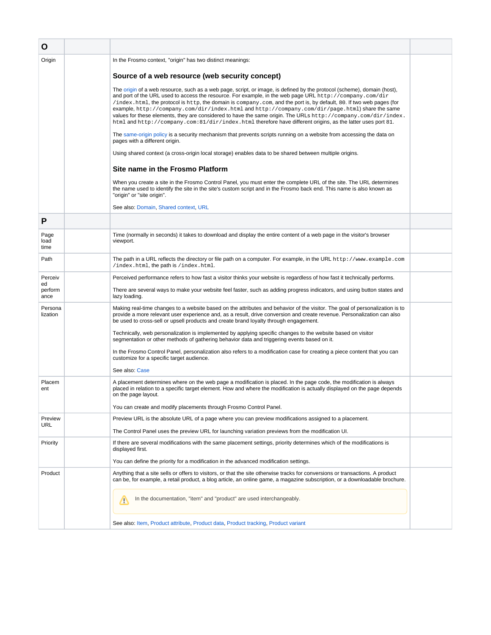<span id="page-7-6"></span><span id="page-7-5"></span><span id="page-7-4"></span><span id="page-7-3"></span><span id="page-7-2"></span><span id="page-7-1"></span><span id="page-7-0"></span>

| O                                |                                                                                                                                                                                                                                                                                                                                                                                                                                                                                                                                                                                                                                                                                                                                                                                                                                                                                                                                                                                                                                                                                                                                                                                                                                                                                                                                                                                                                                                  |  |
|----------------------------------|--------------------------------------------------------------------------------------------------------------------------------------------------------------------------------------------------------------------------------------------------------------------------------------------------------------------------------------------------------------------------------------------------------------------------------------------------------------------------------------------------------------------------------------------------------------------------------------------------------------------------------------------------------------------------------------------------------------------------------------------------------------------------------------------------------------------------------------------------------------------------------------------------------------------------------------------------------------------------------------------------------------------------------------------------------------------------------------------------------------------------------------------------------------------------------------------------------------------------------------------------------------------------------------------------------------------------------------------------------------------------------------------------------------------------------------------------|--|
| Origin                           | In the Frosmo context, "origin" has two distinct meanings:<br>Source of a web resource (web security concept)<br>The origin of a web resource, such as a web page, script, or image, is defined by the protocol (scheme), domain (host),<br>and port of the URL used to access the resource. For example, in the web page URL http://company.com/dir<br>/index.html, the protocol is http, the domain is company.com, and the port is, by default, 80. If two web pages (for<br>example, http://company.com/dir/index.html and http://company.com/dir/page.html) share the same<br>values for these elements, they are considered to have the same origin. The URLs http://company.com/dir/index.<br>html and http://company.com:81/dir/index.html therefore have different origins, as the latter uses port 81.<br>The same-origin policy is a security mechanism that prevents scripts running on a website from accessing the data on<br>pages with a different origin.<br>Using shared context (a cross-origin local storage) enables data to be shared between multiple origins.<br>Site name in the Frosmo Platform<br>When you create a site in the Frosmo Control Panel, you must enter the complete URL of the site. The URL determines<br>the name used to identify the site in the site's custom script and in the Frosmo back end. This name is also known as<br>"origin" or "site origin".<br>See also: Domain, Shared context, URL |  |
| P                                |                                                                                                                                                                                                                                                                                                                                                                                                                                                                                                                                                                                                                                                                                                                                                                                                                                                                                                                                                                                                                                                                                                                                                                                                                                                                                                                                                                                                                                                  |  |
| Page<br>load<br>time             | Time (normally in seconds) it takes to download and display the entire content of a web page in the visitor's browser<br>viewport.                                                                                                                                                                                                                                                                                                                                                                                                                                                                                                                                                                                                                                                                                                                                                                                                                                                                                                                                                                                                                                                                                                                                                                                                                                                                                                               |  |
| Path                             | The path in a URL reflects the directory or file path on a computer. For example, in the URL http://www.example.com<br>/index.html, the path is /index.html.                                                                                                                                                                                                                                                                                                                                                                                                                                                                                                                                                                                                                                                                                                                                                                                                                                                                                                                                                                                                                                                                                                                                                                                                                                                                                     |  |
| Perceiv<br>ed<br>perform<br>ance | Perceived performance refers to how fast a visitor thinks your website is regardless of how fast it technically performs.<br>There are several ways to make your website feel faster, such as adding progress indicators, and using button states and<br>lazy loading.                                                                                                                                                                                                                                                                                                                                                                                                                                                                                                                                                                                                                                                                                                                                                                                                                                                                                                                                                                                                                                                                                                                                                                           |  |
| Persona<br>lization              | Making real-time changes to a website based on the attributes and behavior of the visitor. The goal of personalization is to<br>provide a more relevant user experience and, as a result, drive conversion and create revenue. Personalization can also<br>be used to cross-sell or upsell products and create brand loyalty through engagement.<br>Technically, web personalization is implemented by applying specific changes to the website based on visitor<br>segmentation or other methods of gathering behavior data and triggering events based on it.<br>In the Frosmo Control Panel, personalization also refers to a modification case for creating a piece content that you can<br>customize for a specific target audience.<br>See also: Case                                                                                                                                                                                                                                                                                                                                                                                                                                                                                                                                                                                                                                                                                      |  |
| Placem<br>ent                    | A placement determines where on the web page a modification is placed. In the page code, the modification is always<br>placed in relation to a specific target element. How and where the modification is actually displayed on the page depends<br>on the page layout.<br>You can create and modify placements through Frosmo Control Panel.                                                                                                                                                                                                                                                                                                                                                                                                                                                                                                                                                                                                                                                                                                                                                                                                                                                                                                                                                                                                                                                                                                    |  |
| Preview<br>URL                   | Preview URL is the absolute URL of a page where you can preview modifications assigned to a placement.<br>The Control Panel uses the preview URL for launching variation previews from the modification UI.                                                                                                                                                                                                                                                                                                                                                                                                                                                                                                                                                                                                                                                                                                                                                                                                                                                                                                                                                                                                                                                                                                                                                                                                                                      |  |
| Priority                         | If there are several modifications with the same placement settings, priority determines which of the modifications is<br>displayed first.<br>You can define the priority for a modification in the advanced modification settings.                                                                                                                                                                                                                                                                                                                                                                                                                                                                                                                                                                                                                                                                                                                                                                                                                                                                                                                                                                                                                                                                                                                                                                                                              |  |
| Product                          | Anything that a site sells or offers to visitors, or that the site otherwise tracks for conversions or transactions. A product<br>can be, for example, a retail product, a blog article, an online game, a magazine subscription, or a downloadable brochure.<br>In the documentation, "item" and "product" are used interchangeably.<br>∕∾<br>See also: Item, Product attribute, Product data, Product tracking, Product variant                                                                                                                                                                                                                                                                                                                                                                                                                                                                                                                                                                                                                                                                                                                                                                                                                                                                                                                                                                                                                |  |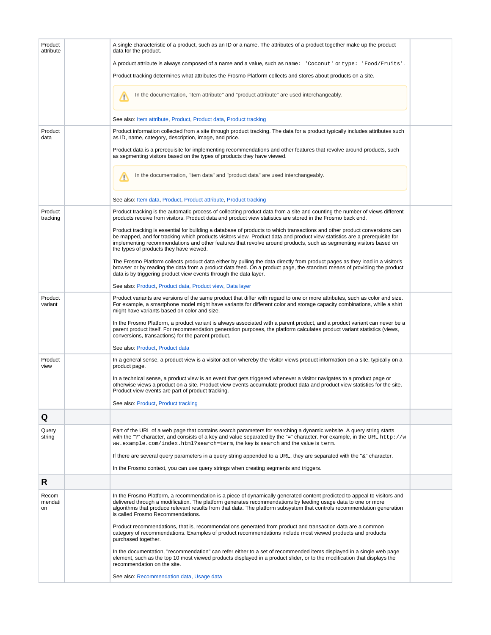<span id="page-8-8"></span><span id="page-8-7"></span><span id="page-8-6"></span><span id="page-8-5"></span><span id="page-8-4"></span><span id="page-8-3"></span><span id="page-8-2"></span><span id="page-8-1"></span><span id="page-8-0"></span>

| Product<br>attribute   | A single characteristic of a product, such as an ID or a name. The attributes of a product together make up the product<br>data for the product.                                                                                                                                                                                                                                                                        |  |
|------------------------|-------------------------------------------------------------------------------------------------------------------------------------------------------------------------------------------------------------------------------------------------------------------------------------------------------------------------------------------------------------------------------------------------------------------------|--|
|                        | A product attribute is always composed of a name and a value, such as name: 'Coconut' or type: 'Food/Fruits'.                                                                                                                                                                                                                                                                                                           |  |
|                        | Product tracking determines what attributes the Frosmo Platform collects and stores about products on a site.                                                                                                                                                                                                                                                                                                           |  |
|                        | In the documentation, "item attribute" and "product attribute" are used interchangeably.<br>∕≞                                                                                                                                                                                                                                                                                                                          |  |
|                        | See also: Item attribute, Product, Product data, Product tracking                                                                                                                                                                                                                                                                                                                                                       |  |
| Product<br>data        | Product information collected from a site through product tracking. The data for a product typically includes attributes such<br>as ID, name, category, description, image, and price.                                                                                                                                                                                                                                  |  |
|                        | Product data is a prerequisite for implementing recommendations and other features that revolve around products, such<br>as segmenting visitors based on the types of products they have viewed.                                                                                                                                                                                                                        |  |
|                        | In the documentation, "item data" and "product data" are used interchangeably.<br>∕∖                                                                                                                                                                                                                                                                                                                                    |  |
|                        | See also: Item data, Product, Product attribute, Product tracking                                                                                                                                                                                                                                                                                                                                                       |  |
| Product<br>tracking    | Product tracking is the automatic process of collecting product data from a site and counting the number of views different<br>products receive from visitors. Product data and product view statistics are stored in the Frosmo back end.                                                                                                                                                                              |  |
|                        | Product tracking is essential for building a database of products to which transactions and other product conversions can<br>be mapped, and for tracking which products visitors view. Product data and product view statistics are a prerequisite for<br>implementing recommendations and other features that revolve around products, such as segmenting visitors based on<br>the types of products they have viewed. |  |
|                        | The Frosmo Platform collects product data either by pulling the data directly from product pages as they load in a visitor's<br>browser or by reading the data from a product data feed. On a product page, the standard means of providing the product<br>data is by triggering product view events through the data layer.                                                                                            |  |
|                        | See also: Product, Product data, Product view, Data layer                                                                                                                                                                                                                                                                                                                                                               |  |
| Product<br>variant     | Product variants are versions of the same product that differ with regard to one or more attributes, such as color and size.<br>For example, a smartphone model might have variants for different color and storage capacity combinations, while a shirt<br>might have variants based on color and size.                                                                                                                |  |
|                        | In the Frosmo Platform, a product variant is always associated with a parent product, and a product variant can never be a<br>parent product itself. For recommendation generation purposes, the platform calculates product variant statistics (views,<br>conversions, transactions) for the parent product.                                                                                                           |  |
|                        | See also: Product, Product data                                                                                                                                                                                                                                                                                                                                                                                         |  |
| Product<br>view        | In a general sense, a product view is a visitor action whereby the visitor views product information on a site, typically on a<br>product page.                                                                                                                                                                                                                                                                         |  |
|                        | In a technical sense, a product view is an event that gets triggered whenever a visitor navigates to a product page or<br>otherwise views a product on a site. Product view events accumulate product data and product view statistics for the site.<br>Product view events are part of product tracking.                                                                                                               |  |
|                        | See also: Product, Product tracking                                                                                                                                                                                                                                                                                                                                                                                     |  |
| Q                      |                                                                                                                                                                                                                                                                                                                                                                                                                         |  |
| Query<br>string        | Part of the URL of a web page that contains search parameters for searching a dynamic website. A query string starts<br>with the "?" character, and consists of a key and value separated by the "=" character. For example, in the URL http://w<br>ww.example.com/index.html?search=term, the key is search and the value is term.                                                                                     |  |
|                        | If there are several query parameters in a query string appended to a URL, they are separated with the "&" character.                                                                                                                                                                                                                                                                                                   |  |
|                        | In the Frosmo context, you can use query strings when creating segments and triggers.                                                                                                                                                                                                                                                                                                                                   |  |
| R                      |                                                                                                                                                                                                                                                                                                                                                                                                                         |  |
| Recom<br>mendati<br>on | In the Frosmo Platform, a recommendation is a piece of dynamically generated content predicted to appeal to visitors and<br>delivered through a modification. The platform generates recommendations by feeding usage data to one or more<br>algorithms that produce relevant results from that data. The platform subsystem that controls recommendation generation<br>is called Frosmo Recommendations.               |  |
|                        | Product recommendations, that is, recommendations generated from product and transaction data are a common<br>category of recommendations. Examples of product recommendations include most viewed products and products<br>purchased together.                                                                                                                                                                         |  |
|                        | In the documentation, "recommendation" can refer either to a set of recommended items displayed in a single web page<br>element, such as the top 10 most viewed products displayed in a product slider, or to the modification that displays the<br>recommendation on the site.                                                                                                                                         |  |
|                        | See also: Recommendation data, Usage data                                                                                                                                                                                                                                                                                                                                                                               |  |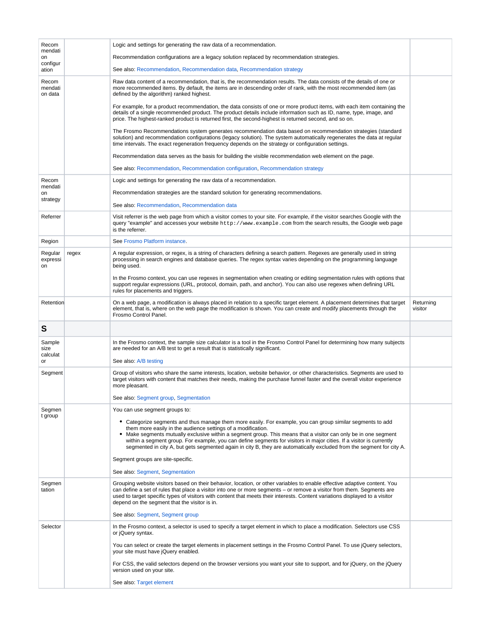<span id="page-9-7"></span><span id="page-9-6"></span><span id="page-9-5"></span><span id="page-9-4"></span><span id="page-9-3"></span><span id="page-9-2"></span><span id="page-9-1"></span><span id="page-9-0"></span>

| Recom                       |       | Logic and settings for generating the raw data of a recommendation.                                                                                                                                                                                                                                                                                                                                                                                                                                                                            |                      |
|-----------------------------|-------|------------------------------------------------------------------------------------------------------------------------------------------------------------------------------------------------------------------------------------------------------------------------------------------------------------------------------------------------------------------------------------------------------------------------------------------------------------------------------------------------------------------------------------------------|----------------------|
| mendati<br>on               |       | Recommendation configurations are a legacy solution replaced by recommendation strategies.                                                                                                                                                                                                                                                                                                                                                                                                                                                     |                      |
| configur<br>ation           |       | See also: Recommendation, Recommendation data, Recommendation strategy                                                                                                                                                                                                                                                                                                                                                                                                                                                                         |                      |
| Recom<br>mendati<br>on data |       | Raw data content of a recommendation, that is, the recommendation results. The data consists of the details of one or<br>more recommended items. By default, the items are in descending order of rank, with the most recommended item (as<br>defined by the algorithm) ranked highest.                                                                                                                                                                                                                                                        |                      |
|                             |       | For example, for a product recommendation, the data consists of one or more product items, with each item containing the<br>details of a single recommended product. The product details include information such as ID, name, type, image, and<br>price. The highest-ranked product is returned first, the second-highest is returned second, and so on.                                                                                                                                                                                      |                      |
|                             |       | The Frosmo Recommendations system generates recommendation data based on recommendation strategies (standard<br>solution) and recommendation configurations (legacy solution). The system automatically regenerates the data at regular<br>time intervals. The exact regeneration frequency depends on the strategy or configuration settings.                                                                                                                                                                                                 |                      |
|                             |       | Recommendation data serves as the basis for building the visible recommendation web element on the page.                                                                                                                                                                                                                                                                                                                                                                                                                                       |                      |
|                             |       | See also: Recommendation, Recommendation configuration, Recommendation strategy                                                                                                                                                                                                                                                                                                                                                                                                                                                                |                      |
| Recom<br>mendati            |       | Logic and settings for generating the raw data of a recommendation.                                                                                                                                                                                                                                                                                                                                                                                                                                                                            |                      |
| on                          |       | Recommendation strategies are the standard solution for generating recommendations.                                                                                                                                                                                                                                                                                                                                                                                                                                                            |                      |
| strategy                    |       | See also: Recommendation, Recommendation data                                                                                                                                                                                                                                                                                                                                                                                                                                                                                                  |                      |
| Referrer                    |       | Visit referrer is the web page from which a visitor comes to your site. For example, if the visitor searches Google with the<br>query "example" and accesses your website http://www.example.com from the search results, the Google web page<br>is the referrer.                                                                                                                                                                                                                                                                              |                      |
| Region                      |       | See Frosmo Platform instance.                                                                                                                                                                                                                                                                                                                                                                                                                                                                                                                  |                      |
| Regular<br>expressi<br>on   | regex | A regular expression, or regex, is a string of characters defining a search pattern. Regexes are generally used in string<br>processing in search engines and database queries. The regex syntax varies depending on the programming language<br>being used.                                                                                                                                                                                                                                                                                   |                      |
|                             |       | In the Frosmo context, you can use regexes in segmentation when creating or editing segmentation rules with options that<br>support regular expressions (URL, protocol, domain, path, and anchor). You can also use regexes when defining URL<br>rules for placements and triggers.                                                                                                                                                                                                                                                            |                      |
| Retention                   |       | On a web page, a modification is always placed in relation to a specific target element. A placement determines that target<br>element, that is, where on the web page the modification is shown. You can create and modify placements through the                                                                                                                                                                                                                                                                                             | Returning<br>visitor |
|                             |       | Frosmo Control Panel.                                                                                                                                                                                                                                                                                                                                                                                                                                                                                                                          |                      |
| S                           |       |                                                                                                                                                                                                                                                                                                                                                                                                                                                                                                                                                |                      |
| Sample<br>size<br>calculat  |       | In the Frosmo context, the sample size calculator is a tool in the Frosmo Control Panel for determining how many subjects<br>are needed for an A/B test to get a result that is statistically significant.                                                                                                                                                                                                                                                                                                                                     |                      |
| or                          |       | See also: A/B testing                                                                                                                                                                                                                                                                                                                                                                                                                                                                                                                          |                      |
| Segment                     |       | Group of visitors who share the same interests, location, website behavior, or other characteristics. Segments are used to<br>target visitors with content that matches their needs, making the purchase funnel faster and the overall visitor experience<br>more pleasant.                                                                                                                                                                                                                                                                    |                      |
|                             |       | See also: Segment group, Segmentation                                                                                                                                                                                                                                                                                                                                                                                                                                                                                                          |                      |
| Segmen                      |       | You can use segment groups to:                                                                                                                                                                                                                                                                                                                                                                                                                                                                                                                 |                      |
| t group                     |       | • Categorize segments and thus manage them more easily. For example, you can group similar segments to add<br>them more easily in the audience settings of a modification.<br>• Make segments mutually exclusive within a segment group. This means that a visitor can only be in one segment<br>within a segment group. For example, you can define segments for visitors in major cities. If a visitor is currently<br>segmented in city A, but gets segmented again in city B, they are automatically excluded from the segment for city A. |                      |
|                             |       | Segment groups are site-specific.                                                                                                                                                                                                                                                                                                                                                                                                                                                                                                              |                      |
|                             |       | See also: Segment, Segmentation                                                                                                                                                                                                                                                                                                                                                                                                                                                                                                                |                      |
| Segmen<br>tation            |       | Grouping website visitors based on their behavior, location, or other variables to enable effective adaptive content. You<br>can define a set of rules that place a visitor into one or more segments – or remove a visitor from them. Segments are<br>used to target specific types of visitors with content that meets their interests. Content variations displayed to a visitor<br>depend on the segment that the visitor is in.                                                                                                           |                      |
|                             |       | See also: Segment, Segment group                                                                                                                                                                                                                                                                                                                                                                                                                                                                                                               |                      |
| Selector                    |       | In the Frosmo context, a selector is used to specify a target element in which to place a modification. Selectors use CSS<br>or jQuery syntax.                                                                                                                                                                                                                                                                                                                                                                                                 |                      |
|                             |       | You can select or create the target elements in placement settings in the Frosmo Control Panel. To use jQuery selectors,<br>your site must have jQuery enabled.                                                                                                                                                                                                                                                                                                                                                                                |                      |
|                             |       | For CSS, the valid selectors depend on the browser versions you want your site to support, and for jQuery, on the jQuery<br>version used on your site.                                                                                                                                                                                                                                                                                                                                                                                         |                      |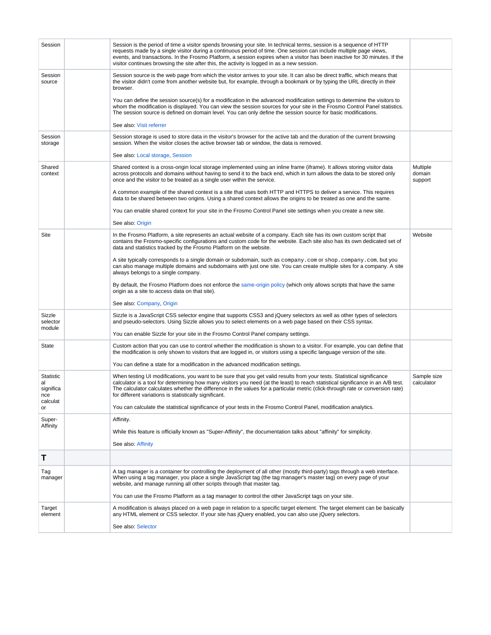<span id="page-10-6"></span><span id="page-10-5"></span><span id="page-10-4"></span><span id="page-10-3"></span><span id="page-10-2"></span><span id="page-10-1"></span><span id="page-10-0"></span>

| Session                             | Session is the period of time a visitor spends browsing your site. In technical terms, session is a sequence of HTTP<br>requests made by a single visitor during a continuous period of time. One session can include multiple page views,<br>events, and transactions. In the Frosmo Platform, a session expires when a visitor has been inactive for 30 minutes. If the<br>visitor continues browsing the site after this, the activity is logged in as a new session. |                               |
|-------------------------------------|--------------------------------------------------------------------------------------------------------------------------------------------------------------------------------------------------------------------------------------------------------------------------------------------------------------------------------------------------------------------------------------------------------------------------------------------------------------------------|-------------------------------|
| Session<br>source                   | Session source is the web page from which the visitor arrives to your site. It can also be direct traffic, which means that<br>the visitor didn't come from another website but, for example, through a bookmark or by typing the URL directly in their<br>browser.                                                                                                                                                                                                      |                               |
|                                     | You can define the session source(s) for a modification in the advanced modification settings to determine the visitors to<br>whom the modification is displayed. You can view the session sources for your site in the Frosmo Control Panel statistics.<br>The session source is defined on domain level. You can only define the session source for basic modifications.                                                                                               |                               |
|                                     | See also: Visit referrer                                                                                                                                                                                                                                                                                                                                                                                                                                                 |                               |
| Session<br>storage                  | Session storage is used to store data in the visitor's browser for the active tab and the duration of the current browsing<br>session. When the visitor closes the active browser tab or window, the data is removed.                                                                                                                                                                                                                                                    |                               |
|                                     | See also: Local storage, Session                                                                                                                                                                                                                                                                                                                                                                                                                                         |                               |
| Shared<br>context                   | Shared context is a cross-origin local storage implemented using an inline frame (iframe). It allows storing visitor data<br>across protocols and domains without having to send it to the back end, which in turn allows the data to be stored only<br>once and the visitor to be treated as a single user within the service.                                                                                                                                          | Multiple<br>domain<br>support |
|                                     | A common example of the shared context is a site that uses both HTTP and HTTPS to deliver a service. This requires<br>data to be shared between two origins. Using a shared context allows the origins to be treated as one and the same.                                                                                                                                                                                                                                |                               |
|                                     | You can enable shared context for your site in the Frosmo Control Panel site settings when you create a new site.                                                                                                                                                                                                                                                                                                                                                        |                               |
|                                     | See also: Origin                                                                                                                                                                                                                                                                                                                                                                                                                                                         |                               |
| Site                                | In the Frosmo Platform, a site represents an actual website of a company. Each site has its own custom script that<br>contains the Frosmo-specific configurations and custom code for the website. Each site also has its own dedicated set of<br>data and statistics tracked by the Frosmo Platform on the website.                                                                                                                                                     | Website                       |
|                                     | A site typically corresponds to a single domain or subdomain, such as company.com or shop.company.com, but you<br>can also manage multiple domains and subdomains with just one site. You can create multiple sites for a company. A site<br>always belongs to a single company.                                                                                                                                                                                         |                               |
|                                     | By default, the Frosmo Platform does not enforce the same-origin policy (which only allows scripts that have the same<br>origin as a site to access data on that site).                                                                                                                                                                                                                                                                                                  |                               |
|                                     | See also: Company, Origin                                                                                                                                                                                                                                                                                                                                                                                                                                                |                               |
| Sizzle<br>selector<br>module        | Sizzle is a JavaScript CSS selector engine that supports CSS3 and jQuery selectors as well as other types of selectors<br>and pseudo-selectors. Using Sizzle allows you to select elements on a web page based on their CSS syntax.                                                                                                                                                                                                                                      |                               |
|                                     | You can enable Sizzle for your site in the Frosmo Control Panel company settings.                                                                                                                                                                                                                                                                                                                                                                                        |                               |
| State                               | Custom action that you can use to control whether the modification is shown to a visitor. For example, you can define that<br>the modification is only shown to visitors that are logged in, or visitors using a specific language version of the site.                                                                                                                                                                                                                  |                               |
|                                     | You can define a state for a modification in the advanced modification settings.                                                                                                                                                                                                                                                                                                                                                                                         |                               |
| Statistic<br>al<br>significa<br>nce | When testing UI modifications, you want to be sure that you get valid results from your tests. Statistical significance<br>calculator is a tool for determining how many visitors you need (at the least) to reach statistical significance in an A/B test.<br>The calculator calculates whether the difference in the values for a particular metric (click-through rate or conversion rate)<br>for different variations is statistically significant.                  | Sample size<br>calculator     |
| calculat<br>or                      | You can calculate the statistical significance of your tests in the Frosmo Control Panel, modification analytics.                                                                                                                                                                                                                                                                                                                                                        |                               |
| Super-                              | Affinity.                                                                                                                                                                                                                                                                                                                                                                                                                                                                |                               |
| Affinity                            | While this feature is officially known as "Super-Affinity", the documentation talks about "affinity" for simplicity.                                                                                                                                                                                                                                                                                                                                                     |                               |
|                                     | See also: Affinity                                                                                                                                                                                                                                                                                                                                                                                                                                                       |                               |
| Т                                   |                                                                                                                                                                                                                                                                                                                                                                                                                                                                          |                               |
| Tag<br>manager                      | A tag manager is a container for controlling the deployment of all other (mostly third-party) tags through a web interface.<br>When using a tag manager, you place a single JavaScript tag (the tag manager's master tag) on every page of your<br>website, and manage running all other scripts through that master tag.                                                                                                                                                |                               |
|                                     | You can use the Frosmo Platform as a tag manager to control the other JavaScript tags on your site.                                                                                                                                                                                                                                                                                                                                                                      |                               |
| Target<br>element                   | A modification is always placed on a web page in relation to a specific target element. The target element can be basically<br>any HTML element or CSS selector. If your site has jQuery enabled, you can also use jQuery selectors.                                                                                                                                                                                                                                     |                               |
|                                     | See also: Selector                                                                                                                                                                                                                                                                                                                                                                                                                                                       |                               |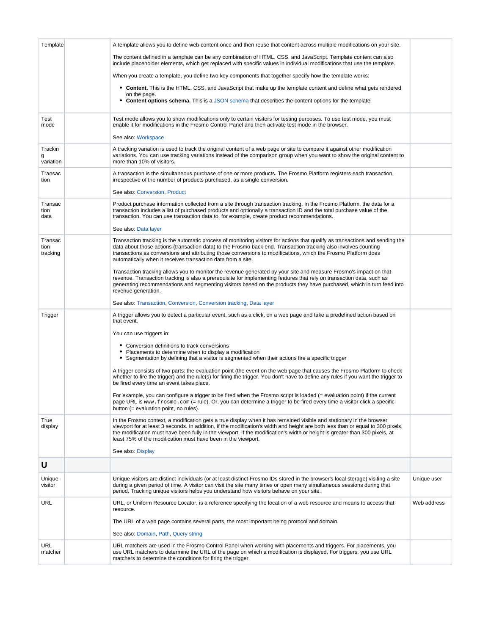<span id="page-11-7"></span><span id="page-11-6"></span><span id="page-11-5"></span><span id="page-11-4"></span><span id="page-11-3"></span><span id="page-11-2"></span><span id="page-11-1"></span><span id="page-11-0"></span>

| Template                    | A template allows you to define web content once and then reuse that content across multiple modifications on your site.<br>The content defined in a template can be any combination of HTML, CSS, and JavaScript. Template content can also<br>include placeholder elements, which get replaced with specific values in individual modifications that use the template.<br>When you create a template, you define two key components that together specify how the template works:<br>• Content. This is the HTML, CSS, and JavaScript that make up the template content and define what gets rendered<br>on the page.<br>• Content options schema. This is a JSON schema that describes the content options for the template. |             |
|-----------------------------|---------------------------------------------------------------------------------------------------------------------------------------------------------------------------------------------------------------------------------------------------------------------------------------------------------------------------------------------------------------------------------------------------------------------------------------------------------------------------------------------------------------------------------------------------------------------------------------------------------------------------------------------------------------------------------------------------------------------------------|-------------|
|                             |                                                                                                                                                                                                                                                                                                                                                                                                                                                                                                                                                                                                                                                                                                                                 |             |
| Test<br>mode                | Test mode allows you to show modifications only to certain visitors for testing purposes. To use test mode, you must<br>enable it for modifications in the Frosmo Control Panel and then activate test mode in the browser.<br>See also: Workspace                                                                                                                                                                                                                                                                                                                                                                                                                                                                              |             |
| Trackin<br>g<br>variation   | A tracking variation is used to track the original content of a web page or site to compare it against other modification<br>variations. You can use tracking variations instead of the comparison group when you want to show the original content to<br>more than 10% of visitors.                                                                                                                                                                                                                                                                                                                                                                                                                                            |             |
| Transac<br>tion             | A transaction is the simultaneous purchase of one or more products. The Frosmo Platform registers each transaction,<br>irrespective of the number of products purchased, as a single conversion.<br>See also: Conversion, Product                                                                                                                                                                                                                                                                                                                                                                                                                                                                                               |             |
| Transac<br>tion<br>data     | Product purchase information collected from a site through transaction tracking. In the Frosmo Platform, the data for a<br>transaction includes a list of purchased products and optionally a transaction ID and the total purchase value of the<br>transaction. You can use transaction data to, for example, create product recommendations.<br>See also: Data layer                                                                                                                                                                                                                                                                                                                                                          |             |
| Transac<br>tion<br>tracking | Transaction tracking is the automatic process of monitoring visitors for actions that qualify as transactions and sending the<br>data about those actions (transaction data) to the Frosmo back end. Transaction tracking also involves counting<br>transactions as conversions and attributing those conversions to modifications, which the Frosmo Platform does<br>automatically when it receives transaction data from a site.                                                                                                                                                                                                                                                                                              |             |
|                             | Transaction tracking allows you to monitor the revenue generated by your site and measure Frosmo's impact on that<br>revenue. Transaction tracking is also a prerequisite for implementing features that rely on transaction data, such as<br>generating recommendations and segmenting visitors based on the products they have purchased, which in turn feed into<br>revenue generation.                                                                                                                                                                                                                                                                                                                                      |             |
|                             | See also: Transaction, Conversion, Conversion tracking, Data layer                                                                                                                                                                                                                                                                                                                                                                                                                                                                                                                                                                                                                                                              |             |
| Trigger                     | A trigger allows you to detect a particular event, such as a click, on a web page and take a predefined action based on<br>that event.                                                                                                                                                                                                                                                                                                                                                                                                                                                                                                                                                                                          |             |
|                             | You can use triggers in:                                                                                                                                                                                                                                                                                                                                                                                                                                                                                                                                                                                                                                                                                                        |             |
|                             | • Conversion definitions to track conversions<br>Placements to determine when to display a modification<br>• Segmentation by defining that a visitor is segmented when their actions fire a specific trigger                                                                                                                                                                                                                                                                                                                                                                                                                                                                                                                    |             |
|                             | A trigger consists of two parts: the evaluation point (the event on the web page that causes the Frosmo Platform to check<br>whether to fire the trigger) and the rule(s) for firing the trigger. You don't have to define any rules if you want the trigger to<br>be fired every time an event takes place.                                                                                                                                                                                                                                                                                                                                                                                                                    |             |
|                             | For example, you can configure a trigger to be fired when the Frosmo script is loaded (= evaluation point) if the current<br>page URL is www.frosmo.com (= rule). Or, you can determine a trigger to be fired every time a visitor click a specific<br>button (= evaluation point, no rules).                                                                                                                                                                                                                                                                                                                                                                                                                                   |             |
| True<br>display             | In the Frosmo context, a modification gets a true display when it has remained visible and stationary in the browser<br>viewport for at least 3 seconds. In addition, if the modification's width and height are both less than or equal to 300 pixels,<br>the modification must have been fully in the viewport. If the modification's width or height is greater than 300 pixels, at<br>least 75% of the modification must have been in the viewport.                                                                                                                                                                                                                                                                         |             |
|                             | See also: Display                                                                                                                                                                                                                                                                                                                                                                                                                                                                                                                                                                                                                                                                                                               |             |
| U                           |                                                                                                                                                                                                                                                                                                                                                                                                                                                                                                                                                                                                                                                                                                                                 |             |
| Unique<br>visitor           | Unique visitors are distinct individuals (or at least distinct Frosmo IDs stored in the browser's local storage) visiting a site<br>during a given period of time. A visitor can visit the site many times or open many simultaneous sessions during that<br>period. Tracking unique visitors helps you understand how visitors behave on your site.                                                                                                                                                                                                                                                                                                                                                                            | Unique user |
| <b>URL</b>                  | URL, or Uniform Resource Locator, is a reference specifying the location of a web resource and means to access that<br>resource.                                                                                                                                                                                                                                                                                                                                                                                                                                                                                                                                                                                                | Web address |
|                             | The URL of a web page contains several parts, the most important being protocol and domain.                                                                                                                                                                                                                                                                                                                                                                                                                                                                                                                                                                                                                                     |             |
|                             | See also: Domain, Path, Query string                                                                                                                                                                                                                                                                                                                                                                                                                                                                                                                                                                                                                                                                                            |             |
| URL<br>matcher              | URL matchers are used in the Frosmo Control Panel when working with placements and triggers. For placements, you<br>use URL matchers to determine the URL of the page on which a modification is displayed. For triggers, you use URL<br>matchers to determine the conditions for firing the trigger.                                                                                                                                                                                                                                                                                                                                                                                                                           |             |